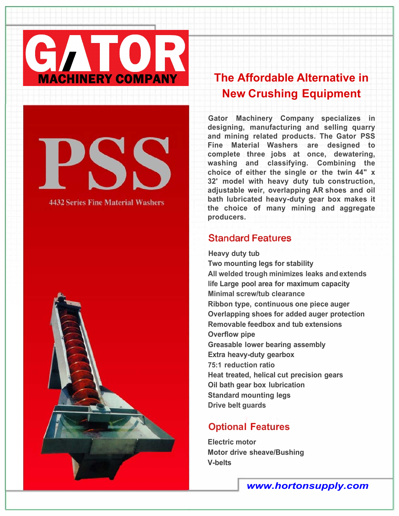

# **4432 Series Fine Material Washers**



## **New Crushing Equipment**

**Gator Machinery Company specializes in designing, manufacturing and selling quarry and mining related products. The Gator PSS Fine Material Washers are designed to complete three jobs at once, dewatering, washing and classifying. Combining the choice of either the single or the twin 44" x 32' model with heavy duty tub construction, adjustable weir, overlapping AR shoes and oil bath lubricated heavy-duty gear box makes it the choice of many mining and aggregate producers.** 

#### **Standard Features**

**Heavy duty tub Two mounting legs for stability All welded trough minimizes leaks and extends life Large pool area for maximum capacity Minimal screw/tub clearance Ribbon type, continuous one piece auger Overlapping shoes for added auger protection Removable feedbox and tub extensions Overflow pipe Greasable lower bearing assembly Extra heavy-duty gearbox 75:1 reduction ratio Heat treated, helical cut precision gears Oil bath gear box lubrication Standard mounting legs Drive belt guards** 

#### **Optional Features**

**Electric motor Motor drive sheave/Bushing V-belts**

*www.hortonsupply.com*